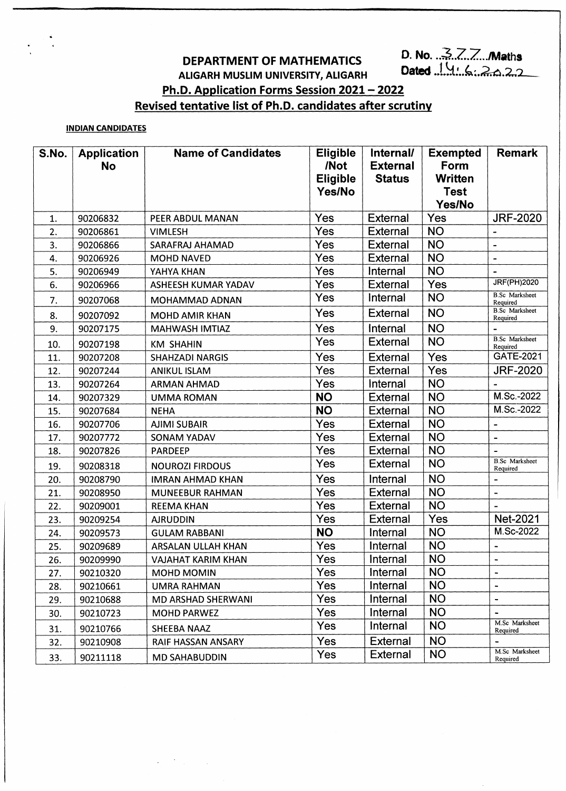# **DEPARTMENT OF MATHEMATICS** D. No. 3777 D. Maths

## **ALIGARH MUSLIM UNIVERSITY, ALIGARH**

**Ph.D. Application Forms Session 2021 - 2022**

### **Revised tentative list of Ph.P. candidates after scrutiny**

#### **INDIAN CANDIDATES**

| S.No. | <b>Application</b><br><b>No</b> | <b>Name of Candidates</b> | <b>Eligible</b><br>/Not<br><b>Eligible</b><br>Yes/No | Internal/<br><b>External</b><br><b>Status</b> | <b>Exempted</b><br>Form<br><b>Written</b><br><b>Test</b><br>Yes/No | <b>Remark</b>                     |
|-------|---------------------------------|---------------------------|------------------------------------------------------|-----------------------------------------------|--------------------------------------------------------------------|-----------------------------------|
| 1.    | 90206832                        | PEER ABDUL MANAN          | Yes                                                  | External                                      | Yes                                                                | <b>JRF-2020</b>                   |
| 2.    | 90206861                        | <b>VIMLESH</b>            | Yes                                                  | <b>External</b>                               | <b>NO</b>                                                          |                                   |
| 3.    | 90206866                        | SARAFRAJ AHAMAD           | Yes                                                  | External                                      | <b>NO</b>                                                          | $\overline{\phantom{a}}$          |
| 4.    | 90206926                        | <b>MOHD NAVED</b>         | Yes                                                  | <b>External</b>                               | <b>NO</b>                                                          | $\overline{\phantom{a}}$          |
| 5.    | 90206949                        | YAHYA KHAN                | Yes                                                  | Internal                                      | <b>NO</b>                                                          |                                   |
| 6.    | 90206966                        | ASHEESH KUMAR YADAV       | Yes                                                  | <b>External</b>                               | Yes                                                                | <b>JRF(PH)2020</b>                |
| 7.    | 90207068                        | MOHAMMAD ADNAN            | Yes                                                  | Internal                                      | <b>NO</b>                                                          | <b>B.Sc</b> Marksheet<br>Required |
| 8.    | 90207092                        | MOHD AMIR KHAN            | Yes                                                  | <b>External</b>                               | <b>NO</b>                                                          | <b>B.Sc</b> Marksheet<br>Required |
| 9.    | 90207175                        | MAHWASH IMTIAZ            | Yes                                                  | Internal                                      | <b>NO</b>                                                          |                                   |
| 10.   | 90207198                        | <b>KM SHAHIN</b>          | Yes                                                  | <b>External</b>                               | <b>NO</b>                                                          | <b>B.Sc</b> Marksheet<br>Required |
| 11.   | 90207208                        | <b>SHAHZADI NARGIS</b>    | Yes                                                  | External                                      | Yes                                                                | GATE-2021                         |
| 12.   | 90207244                        | <b>ANIKUL ISLAM</b>       | Yes                                                  | <b>External</b>                               | Yes                                                                | <b>JRF-2020</b>                   |
| 13.   | 90207264                        | <b>ARMAN AHMAD</b>        | Yes                                                  | Internal                                      | <b>NO</b>                                                          |                                   |
| 14.   | 90207329                        | <b>UMMA ROMAN</b>         | <b>NO</b>                                            | External                                      | <b>NO</b>                                                          | M.Sc.-2022                        |
| 15.   | 90207684                        | <b>NEHA</b>               | <b>NO</b>                                            | External                                      | <b>NO</b>                                                          | M.Sc.-2022                        |
| 16.   | 90207706                        | <b>AJIMI SUBAIR</b>       | Yes                                                  | External                                      | <b>NO</b>                                                          | $\blacksquare$                    |
| 17.   | 90207772                        | <b>SONAM YADAV</b>        | Yes                                                  | External                                      | <b>NO</b>                                                          |                                   |
| 18.   | 90207826                        | <b>PARDEEP</b>            | Yes                                                  | External                                      | <b>NO</b>                                                          |                                   |
| 19.   | 90208318                        | <b>NOUROZI FIRDOUS</b>    | Yes                                                  | External                                      | <b>NO</b>                                                          | <b>B.Sc</b> Marksheet<br>Required |
| 20.   | 90208790                        | <b>IMRAN AHMAD KHAN</b>   | Yes                                                  | Internal                                      | <b>NO</b>                                                          |                                   |
| 21.   | 90208950                        | MUNEEBUR RAHMAN           | Yes                                                  | <b>External</b>                               | <b>NO</b>                                                          | $\qquad \qquad \blacksquare$      |
| 22.   | 90209001                        | <b>REEMA KHAN</b>         | Yes                                                  | External                                      | <b>NO</b>                                                          |                                   |
| 23.   | 90209254                        | <b>AJRUDDIN</b>           | Yes                                                  | <b>External</b>                               | Yes                                                                | Net-2021                          |
| 24.   | 90209573                        | <b>GULAM RABBANI</b>      | <b>NO</b>                                            | Internal                                      | <b>NO</b>                                                          | M.Sc-2022                         |
| 25.   | 90209689                        | ARSALAN ULLAH KHAN        | Yes                                                  | Internal                                      | <b>NO</b>                                                          | $\overline{\phantom{0}}$          |
| 26.   | 90209990                        | VAJAHAT KARIM KHAN        | Yes                                                  | Internal                                      | <b>NO</b>                                                          |                                   |
| 27.   | 90210320                        | MOHD MOMIN                | Yes                                                  | Internal                                      | <b>NO</b>                                                          |                                   |
| 28.   | 90210661                        | UMRA RAHMAN               | <b>Yes</b>                                           | Internal                                      | <b>NO</b>                                                          |                                   |
| 29.   | 90210688                        | MD ARSHAD SHERWANI        | Yes                                                  | Internal                                      | <b>NO</b>                                                          | $\tilde{}$                        |
| 30.   | 90210723                        | <b>MOHD PARWEZ</b>        | Yes                                                  | Internal                                      | <b>NO</b>                                                          |                                   |
| 31.   | 90210766                        | <b>SHEEBA NAAZ</b>        | Yes                                                  | Internal                                      | <b>NO</b>                                                          | M.Sc Marksheet<br>Required        |
| 32.   | 90210908                        | RAIF HASSAN ANSARY        | <b>Yes</b>                                           | External                                      | <b>NO</b>                                                          |                                   |
| 33.   | 90211118                        | <b>MD SAHABUDDIN</b>      | Yes                                                  | <b>External</b>                               | <b>NO</b>                                                          | M.Sc Marksheet<br>Required        |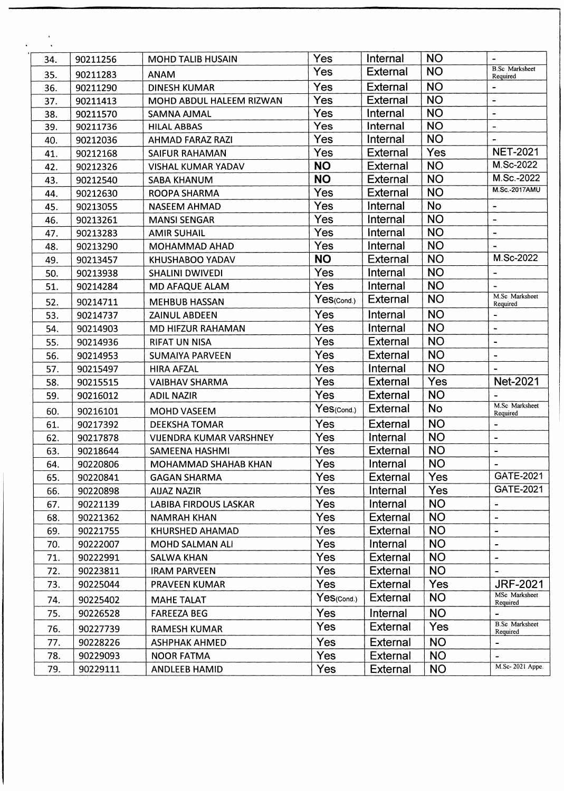| 34. | 90211256 | <b>MOHD TALIB HUSAIN</b>       | Yes             | Internal        | <b>NO</b> |                                      |
|-----|----------|--------------------------------|-----------------|-----------------|-----------|--------------------------------------|
| 35. | 90211283 | <b>ANAM</b>                    | Yes             | <b>External</b> | <b>NO</b> | <b>B.Sc</b> Marksheet<br>Required    |
| 36. | 90211290 | <b>DINESH KUMAR</b>            | Yes             | <b>External</b> | <b>NO</b> |                                      |
| 37. | 90211413 | MOHD ABDUL HALEEM RIZWAN       | Yes             | <b>External</b> | <b>NO</b> | $\qquad \qquad -$                    |
| 38. | 90211570 | <b>SAMNA AJMAL</b>             | Yes             | Internal        | <b>NO</b> | $\blacksquare$                       |
| 39. | 90211736 | <b>HILAL ABBAS</b>             | Yes             | Internal        | <b>NO</b> | $\overline{\phantom{a}}$             |
| 40. | 90212036 | AHMAD FARAZ RAZI               | Yes             | Internal        | <b>NO</b> |                                      |
| 41. | 90212168 | <b>SAIFUR RAHAMAN</b>          | Yes             | <b>External</b> | Yes       | <b>NET-2021</b>                      |
| 42. | 90212326 | <b>VISHAL KUMAR YADAV</b>      | <b>NO</b>       | External        | <b>NO</b> | M.Sc-2022                            |
| 43. | 90212540 | <b>SABA KHANUM</b>             | <b>NO</b>       | <b>External</b> | <b>NO</b> | M.Sc.-2022                           |
| 44. | 90212630 | <b>ROOPA SHARMA</b>            | Yes             | <b>External</b> | <b>NO</b> | <b>M.Sc.-2017AMU</b>                 |
| 45. | 90213055 | <b>NASEEM AHMAD</b>            | Yes             | Internal        | <b>No</b> | $\overline{\phantom{a}}$             |
| 46. | 90213261 | <b>MANSI SENGAR</b>            | Yes             | Internal        | <b>NO</b> | $\qquad \qquad -$                    |
| 47. | 90213283 | <b>AMIR SUHAIL</b>             | Yes             | Internal        | <b>NO</b> | $\qquad \qquad \blacksquare$         |
| 48. | 90213290 | <b>MOHAMMAD AHAD</b>           | Yes             | Internal        | <b>NO</b> |                                      |
| 49. | 90213457 | KHUSHABOO YADAV                | <b>NO</b>       | <b>External</b> | <b>NO</b> | M.Sc-2022                            |
| 50. | 90213938 | <b>SHALINI DWIVEDI</b>         | Yes             | Internal        | <b>NO</b> | $\overline{\phantom{a}}$             |
| 51. | 90214284 | MD AFAQUE ALAM                 | Yes             | Internal        | <b>NO</b> |                                      |
| 52. | 90214711 | <b>MEHBUB HASSAN</b>           | Yes(Cond.)      | <b>External</b> | <b>NO</b> | M.Sc Marksheet<br>Required           |
| 53. | 90214737 | ZAINUL ABDEEN                  | Yes             | Internal        | <b>NO</b> | $\overline{\phantom{a}}$             |
| 54. | 90214903 | <b>MD HIFZUR RAHAMAN</b>       | Yes             | Internal        | <b>NO</b> | $\overline{\phantom{a}}$             |
| 55. | 90214936 | <b>RIFAT UN NISA</b>           | Yes             | <b>External</b> | <b>NO</b> | $\overline{\phantom{a}}$             |
| 56. | 90214953 | <b>SUMAIYA PARVEEN</b>         | Yes             | <b>External</b> | <b>NO</b> | $\ddot{\phantom{1}}$                 |
| 57. | 90215497 | <b>HIRA AFZAL</b>              | Yes             | Internal        | <b>NO</b> |                                      |
| 58. | 90215515 | <b>VAIBHAV SHARMA</b>          | Yes             | <b>External</b> | Yes       | <b>Net-2021</b>                      |
| 59. | 90216012 | <b>ADIL NAZIR</b>              | Yes             | <b>External</b> | <b>NO</b> |                                      |
| 60. | 90216101 | <b>MOHD VASEEM</b>             | Yes(Cond.)      | External        | <b>No</b> | M.Sc Marksheet<br>Required           |
| 61. | 90217392 | <b>DEEKSHA TOMAR</b>           | Yes             | External        | <b>NO</b> | $\blacksquare$                       |
| 62. | 90217878 | <b>VIJENDRA KUMAR VARSHNEY</b> | Yes             | Internal        | <b>NO</b> | $\qquad \qquad \blacksquare$         |
| 63. | 90218644 | <b>SAMEENA HASHMI</b>          | Yes             | <b>External</b> | <b>NO</b> | $\overline{\phantom{0}}$             |
| 64. | 90220806 | MOHAMMAD SHAHAB KHAN           | Yes             | Internal        | <b>NO</b> |                                      |
| 65. | 90220841 | <b>GAGAN SHARMA</b>            | Yes             | <b>External</b> | Yes       | GATE-2021                            |
| 66. | 90220898 | <b>AIJAZ NAZIR</b>             | Yes             | Internal        | Yes       | GATE-2021                            |
| 67. | 90221139 | <b>LABIBA FIRDOUS LASKAR</b>   | Yes             | Internal        | <b>NO</b> |                                      |
| 68. | 90221362 | <b>NAMRAH KHAN</b>             | Yes             | External        | <b>NO</b> |                                      |
| 69. | 90221755 | KHURSHED AHAMAD                | Yes             | <b>External</b> | <b>NO</b> | $\overline{a}$                       |
| 70. | 90222007 | MOHD SALMAN ALI                | Yes             | Internal        | <b>NO</b> | $\blacksquare$                       |
| 71. | 90222991 | <b>SALWA KHAN</b>              | Yes             | External        | <b>NO</b> | $\blacksquare$                       |
| 72. | 90223811 | <b>IRAM PARVEEN</b>            | Yes             | <b>External</b> | <b>NO</b> |                                      |
| 73. | 90225044 | PRAVEEN KUMAR                  | Yes             | <b>External</b> | Yes       | <b>JRF-2021</b>                      |
| 74. | 90225402 | <b>MAHE TALAT</b>              | $Yes_{(Cond.)}$ | <b>External</b> | <b>NO</b> | MSc Marksheet<br>Required            |
| 75. | 90226528 | <b>FAREEZA BEG</b>             | Yes             | Internal        | <b>NO</b> |                                      |
| 76. | 90227739 | <b>RAMESH KUMAR</b>            | <b>Yes</b>      | <b>External</b> | Yes       | <b>B.Sc</b> Marksheet                |
| 77. | 90228226 | <b>ASHPHAK AHMED</b>           | <b>Yes</b>      | External        | <b>NO</b> | Required<br>$\overline{\phantom{0}}$ |
| 78. | 90229093 | <b>NOOR FATMA</b>              | <b>Yes</b>      | External        | <b>NO</b> | $\overline{\phantom{a}}$             |
| 79. | 90229111 | ANDLEEB HAMID                  | Yes             | External        | <b>NO</b> | M.Sc-2021 Appe.                      |
|     |          |                                |                 |                 |           |                                      |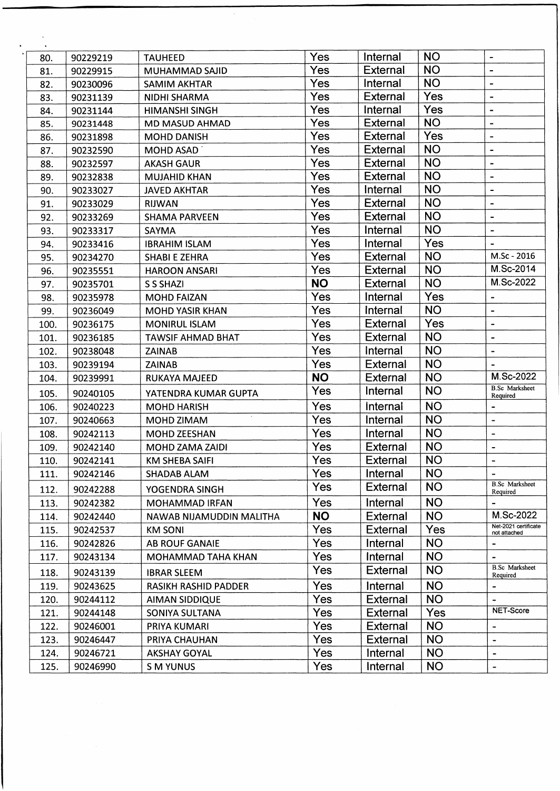| $\mathcal{N}_{\mathrm{c}}$ |          |                          |            |                 |           |                                      |
|----------------------------|----------|--------------------------|------------|-----------------|-----------|--------------------------------------|
| 80.                        | 90229219 | <b>TAUHEED</b>           | Yes        | Internal        | <b>NO</b> | $\blacksquare$                       |
| 81.                        | 90229915 | <b>MUHAMMAD SAJID</b>    | Yes        | External        | <b>NO</b> | $\blacksquare$                       |
| 82.                        | 90230096 | <b>SAMIM AKHTAR</b>      | Yes        | Internal        | <b>NO</b> | $\overline{\phantom{a}}$             |
| 83.                        | 90231139 | NIDHI SHARMA             | Yes        | <b>External</b> | Yes       | $\blacksquare$                       |
| 84.                        | 90231144 | <b>HIMANSHI SINGH</b>    | Yes        | Internal        | Yes       | $\overline{\phantom{a}}$             |
| 85.                        | 90231448 | MD MASUD AHMAD           | Yes        | External        | <b>NO</b> | $\overline{\phantom{a}}$             |
| 86.                        | 90231898 | <b>MOHD DANISH</b>       | Yes        | <b>External</b> | Yes       | $\overline{\phantom{a}}$             |
| 87.                        | 90232590 | MOHD ASAD                | Yes        | External        | <b>NO</b> | $\blacksquare$                       |
| 88.                        | 90232597 | <b>AKASH GAUR</b>        | Yes        | <b>External</b> | <b>NO</b> | $\overline{\phantom{a}}$             |
| 89.                        | 90232838 | <b>MUJAHID KHAN</b>      | Yes        | External        | <b>NO</b> |                                      |
| 90.                        | 90233027 | <b>JAVED AKHTAR</b>      | Yes        | Internal        | <b>NO</b> | $\overline{\phantom{a}}$             |
| 91.                        | 90233029 | <b>RIJWAN</b>            | Yes        | External        | <b>NO</b> | $\blacksquare$                       |
| 92.                        | 90233269 | <b>SHAMA PARVEEN</b>     | Yes        | External        | <b>NO</b> | $\overline{\phantom{a}}$             |
| 93.                        | 90233317 | <b>SAYMA</b>             | Yes        | Internal        | <b>NO</b> | $\qquad \qquad \blacksquare$         |
| 94.                        | 90233416 | <b>IBRAHIM ISLAM</b>     | Yes        | Internal        | Yes       | $\blacksquare$                       |
| 95.                        | 90234270 | <b>SHABI E ZEHRA</b>     | Yes        | <b>External</b> | <b>NO</b> | M.Sc - 2016                          |
| 96.                        | 90235551 | <b>HAROON ANSARI</b>     | Yes        | <b>External</b> | <b>NO</b> | M.Sc-2014                            |
| 97.                        | 90235701 | <b>S S SHAZI</b>         | <b>NO</b>  | <b>External</b> | <b>NO</b> | M.Sc-2022                            |
| 98.                        | 90235978 | <b>MOHD FAIZAN</b>       | Yes        | Internal        | Yes       | $\overline{\phantom{a}}$             |
| 99.                        | 90236049 | <b>MOHD YASIR KHAN</b>   | Yes        | Internal        | <b>NO</b> | $\blacksquare$                       |
| 100.                       | 90236175 | <b>MONIRUL ISLAM</b>     | Yes        | <b>External</b> | Yes       | $\blacksquare$                       |
| 101.                       | 90236185 | <b>TAWSIF AHMAD BHAT</b> | Yes        | <b>External</b> | <b>NO</b> | $\frac{1}{2}$                        |
| 102.                       | 90238048 | <b>ZAINAB</b>            | Yes        | Internal        | <b>NO</b> | $\blacksquare$                       |
| 103.                       | 90239194 | <b>ZAINAB</b>            | Yes        | External        | <b>NO</b> |                                      |
| 104.                       | 90239991 | RUKAYA MAJEED            | <b>NO</b>  | External        | <b>NO</b> | M.Sc-2022                            |
| 105.                       | 90240105 | YATENDRA KUMAR GUPTA     | Yes        | Internal        | <b>NO</b> | <b>B.Sc</b> Marksheet<br>Required    |
| 106.                       | 90240223 | <b>MOHD HARISH</b>       | Yes        | <b>Internal</b> | <b>NO</b> | -                                    |
| 107.                       | 90240663 | MOHD ZIMAM               | Yes        | Internal        | <b>NO</b> | $\qquad \qquad \blacksquare$         |
| 108.                       | 90242113 | <b>MOHD ZEESHAN</b>      | Yes        | Internal        | <b>NO</b> | $\blacksquare$                       |
| 109.                       | 90242140 | MOHD ZAMA ZAIDI          | Yes        | External        | <b>NO</b> | -                                    |
| 110.                       | 90242141 | <b>KM SHEBA SAIFI</b>    | Yes        | <b>External</b> | <b>NO</b> |                                      |
| 111.                       | 90242146 | <b>SHADAB ALAM</b>       | Yes        | Internal        | <b>NO</b> | $\qquad \qquad \blacksquare$         |
| 112.                       | 90242288 | YOGENDRA SINGH           | Yes        | <b>External</b> | <b>NO</b> | <b>B.Sc</b> Marksheet<br>Required    |
| 113.                       | 90242382 | <b>MOHAMMAD IRFAN</b>    | Yes        | Internal        | <b>NO</b> |                                      |
| 114.                       | 90242440 | NAWAB NIJAMUDDIN MALITHA | <b>NO</b>  | External        | <b>NO</b> | M.Sc-2022                            |
| 115.                       | 90242537 | <b>KM SONI</b>           | Yes        | <b>External</b> | Yes       | Net-2021 certificate<br>not attached |
| 116.                       | 90242826 | <b>AB ROUF GANAIE</b>    | Yes        | Internal        | <b>NO</b> | -                                    |
| 117.                       | 90243134 | MOHAMMAD TAHA KHAN       | Yes        | Internal        | <b>NO</b> | $\overline{\phantom{a}}$             |
| 118.                       | 90243139 | <b>IBRAR SLEEM</b>       | Yes        | <b>External</b> | <b>NO</b> | <b>B.Sc</b> Marksheet<br>Required    |
| 119.                       | 90243625 | RASIKH RASHID PADDER     | <b>Yes</b> | Internal        | <b>NO</b> |                                      |
| 120.                       | 90244112 | AIMAN SIDDIQUE           | Yes        | External        | <b>NO</b> |                                      |
| 121.                       | 90244148 | SONIYA SULTANA           | Yes        | <b>External</b> | Yes       | NET-Score                            |
| 122.                       | 90246001 | PRIYA KUMARI             | <b>Yes</b> | External        | <b>NO</b> | $\qquad \qquad \blacksquare$         |
| 123.                       | 90246447 | PRIYA CHAUHAN            | Yes        | External        | <b>NO</b> | $\blacksquare$                       |
| 124.                       | 90246721 | <b>AKSHAY GOYAL</b>      | Yes        | Internal        | <b>NO</b> | $\blacksquare$                       |
| 125.                       | 90246990 | <b>S M YUNUS</b>         | Yes        | Internal        | <b>NO</b> | $\blacksquare$                       |
|                            |          |                          |            |                 |           |                                      |

T.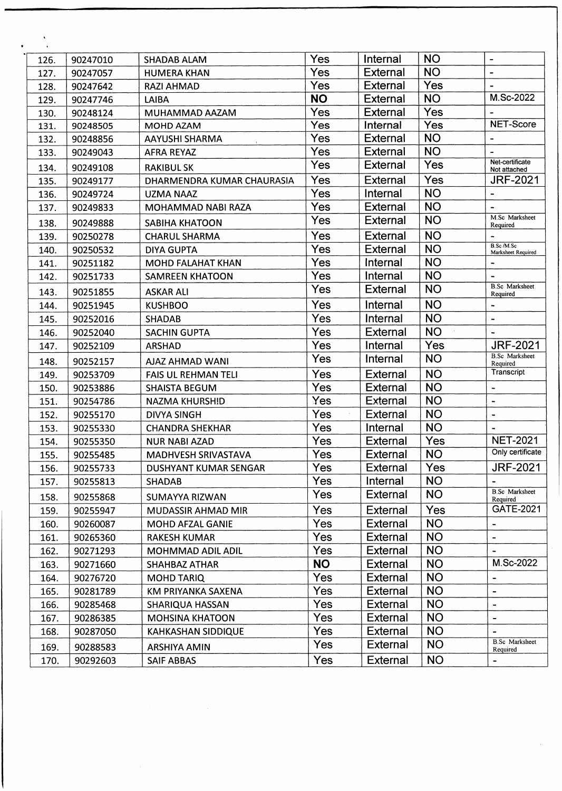| 126. | 90247010 | <b>SHADAB ALAM</b>         | Yes        | Internal        | <b>NO</b>  | $\blacksquare$                    |
|------|----------|----------------------------|------------|-----------------|------------|-----------------------------------|
| 127. | 90247057 | <b>HUMERA KHAN</b>         | Yes        | <b>External</b> | <b>NO</b>  |                                   |
| 128. | 90247642 | <b>RAZI AHMAD</b>          | Yes        | External        | Yes        | $\blacksquare$                    |
| 129. | 90247746 | LAIBA                      | <b>NO</b>  | <b>External</b> | <b>NO</b>  | M.Sc-2022                         |
| 130. | 90248124 | MUHAMMAD AAZAM             | Yes        | External        | Yes        |                                   |
| 131. | 90248505 | MOHD AZAM                  | Yes        | Internal        | Yes        | NET-Score                         |
| 132. | 90248856 | AAYUSHI SHARMA             | Yes        | <b>External</b> | <b>NO</b>  | $\blacksquare$                    |
| 133. | 90249043 | <b>AFRA REYAZ</b>          | Yes        | <b>External</b> | <b>NO</b>  | $\blacksquare$                    |
| 134. | 90249108 | <b>RAKIBUL SK</b>          | Yes        | <b>External</b> | Yes        | Net-certificate<br>Not attached   |
| 135. | 90249177 | DHARMENDRA KUMAR CHAURASIA | Yes        | External        | Yes        | <b>JRF-2021</b>                   |
| 136. | 90249724 | <b>UZMA NAAZ</b>           | Yes        | Internal        | <b>NO</b>  | $\overline{a}$                    |
| 137. | 90249833 | MOHAMMAD NABI RAZA         | Yes        | <b>External</b> | <b>NO</b>  |                                   |
| 138. | 90249888 | <b>SABIHA KHATOON</b>      | Yes        | <b>External</b> | <b>NO</b>  | M.Sc Marksheet<br>Required        |
| 139. | 90250278 | <b>CHARUL SHARMA</b>       | Yes        | External        | <b>NO</b>  | $\overline{\phantom{a}}$          |
| 140. | 90250532 | <b>DIYA GUPTA</b>          | Yes        | <b>External</b> | <b>NO</b>  | B.Sc/M.Sc<br>Marksheet Required   |
| 141. | 90251182 | <b>MOHD FALAHAT KHAN</b>   | Yes        | Internal        | <b>NO</b>  |                                   |
| 142. | 90251733 | <b>SAMREEN KHATOON</b>     | Yes        | Internal        | <b>NO</b>  |                                   |
| 143. | 90251855 | <b>ASKAR ALI</b>           | Yes        | <b>External</b> | <b>NO</b>  | <b>B.Sc</b> Marksheet             |
| 144. | 90251945 | <b>KUSHBOO</b>             | Yes        | Internal        | <b>NO</b>  | Required<br>$\tilde{\phantom{a}}$ |
| 145. | 90252016 | <b>SHADAB</b>              | Yes        | Internal        | <b>NO</b>  | $\tilde{\phantom{a}}$             |
| 146. | 90252040 | <b>SACHIN GUPTA</b>        | Yes        | <b>External</b> | <b>NO</b>  |                                   |
| 147. | 90252109 | <b>ARSHAD</b>              | Yes        | Internal        | Yes        | <b>JRF-2021</b>                   |
| 148. | 90252157 | AJAZ AHMAD WANI            | Yes        | Internal        | <b>NO</b>  | <b>B.Sc</b> Marksheet<br>Required |
| 149. | 90253709 | <b>FAIS UL REHMAN TELI</b> | Yes        | External        | <b>NO</b>  | Transcript                        |
| 150. | 90253886 | <b>SHAISTA BEGUM</b>       | Yes        | External        | <b>NO</b>  | $\overline{\phantom{a}}$          |
| 151. | 90254786 | <b>NAZMA KHURSHID</b>      | Yes        | <b>External</b> | <b>NO</b>  | $\tilde{\phantom{a}}$             |
| 152. | 90255170 | <b>DIVYA SINGH</b>         | Yes        | External        | <b>NO</b>  | $\tilde{\phantom{a}}$             |
| 153. | 90255330 | <b>CHANDRA SHEKHAR</b>     | Yes        | Internal        | <b>NO</b>  | $\blacksquare$                    |
| 154. | 90255350 | <b>NUR NABI AZAD</b>       | Yes        | <b>External</b> | Yes        | <b>NET-2021</b>                   |
| 155. | 90255485 | MADHVESH SRIVASTAVA        | Yes        | External        | <b>NO</b>  | Only certificate                  |
| 156. | 90255733 | DUSHYANT KUMAR SENGAR      | Yes        | <b>External</b> | Yes        | <b>JRF-2021</b>                   |
| 157. | 90255813 | <b>SHADAB</b>              | Yes        | Internal        | <b>NO</b>  |                                   |
| 158. | 90255868 | <b>SUMAYYA RIZWAN</b>      | Yes        | <b>External</b> | <b>NO</b>  | <b>B.Sc</b> Marksheet<br>Required |
| 159. | 90255947 | MUDASSIR AHMAD MIR         | Yes        | <b>External</b> | <b>Yes</b> | GATE-2021                         |
| 160. | 90260087 | MOHD AFZAL GANIE           | Yes        | <b>External</b> | <b>NO</b>  | $\qquad \qquad \blacksquare$      |
| 161. | 90265360 | <b>RAKESH KUMAR</b>        | Yes        | <b>External</b> | <b>NO</b>  | $\blacksquare$                    |
| 162. | 90271293 | MOHMMAD ADIL ADIL          | Yes        | <b>External</b> | <b>NO</b>  |                                   |
| 163. | 90271660 | <b>SHAHBAZ ATHAR</b>       | <b>NO</b>  | <b>External</b> | <b>NO</b>  | M.Sc-2022                         |
| 164. | 90276720 | <b>MOHD TARIQ</b>          | <b>Yes</b> | <b>External</b> | <b>NO</b>  | $\hbox{ }$                        |
| 165. | 90281789 | KM PRIYANKA SAXENA         | Yes        | External        | <b>NO</b>  | $\qquad \qquad \blacksquare$      |
| 166. | 90285468 | SHARIQUA HASSAN            | <b>Yes</b> | External        | <b>NO</b>  | $\frac{1}{2}$                     |
| 167. | 90286385 | <b>MOHSINA KHATOON</b>     | <b>Yes</b> | <b>External</b> | <b>NO</b>  | $\overline{\phantom{a}}$          |
| 168. | 90287050 | <b>KAHKASHAN SIDDIQUE</b>  | Yes        | <b>External</b> | <b>NO</b>  |                                   |
| 169. | 90288583 | ARSHIYA AMIN               | Yes        | External        | <b>NO</b>  | <b>B.Sc</b> Marksheet<br>Required |
| 170. | 90292603 | <b>SAIF ABBAS</b>          | Yes        | <b>External</b> | <b>NO</b>  |                                   |